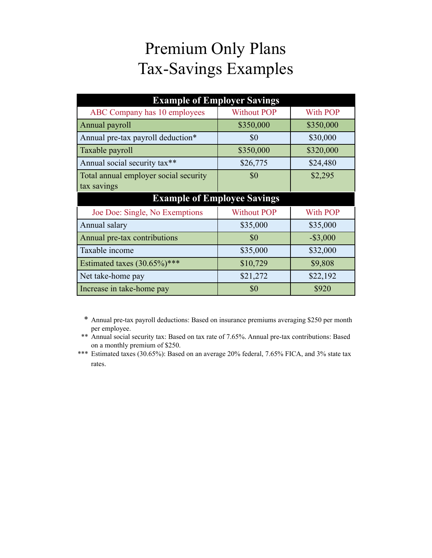## Premium Only Plans Tax-Savings Examples

| <b>Example of Employer Savings</b>    |                    |             |  |
|---------------------------------------|--------------------|-------------|--|
| ABC Company has 10 employees          | <b>Without POP</b> | With POP    |  |
| Annual payroll                        | \$350,000          | \$350,000   |  |
| Annual pre-tax payroll deduction*     | \$0                | \$30,000    |  |
| Taxable payroll                       | \$350,000          | \$320,000   |  |
| Annual social security tax**          | \$26,775           | \$24,480    |  |
| Total annual employer social security | \$0                | \$2,295     |  |
| tax savings                           |                    |             |  |
| <b>Example of Employee Savings</b>    |                    |             |  |
| Joe Doe: Single, No Exemptions        | <b>Without POP</b> | With POP    |  |
| Annual salary                         | \$35,000           | \$35,000    |  |
| Annual pre-tax contributions          | \$0                | $-$ \$3,000 |  |
| Taxable income                        | \$35,000           | \$32,000    |  |
| Estimated taxes $(30.65\%)$ ***       | \$10,729           | \$9,808     |  |
| Net take-home pay                     | \$21,272           | \$22,192    |  |
| Increase in take-home pay             | \$0                | \$920       |  |

 \* Annual pre-tax payroll deductions: Based on insurance premiums averaging \$250 per month per employee.

 \*\* Annual social security tax: Based on tax rate of 7.65%. Annual pre-tax contributions: Based on a monthly premium of \$250.

\*\*\* Estimated taxes (30.65%): Based on an average 20% federal, 7.65% FICA, and 3% state tax rates.